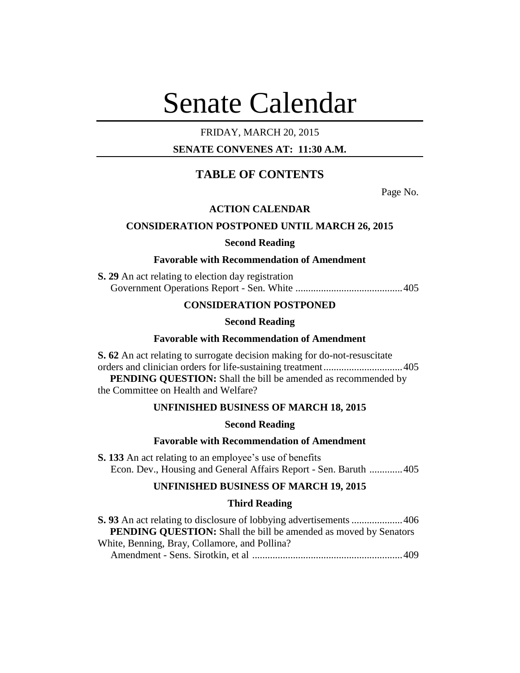# Senate Calendar

# FRIDAY, MARCH 20, 2015

# **SENATE CONVENES AT: 11:30 A.M.**

# **TABLE OF CONTENTS**

Page No.

# **ACTION CALENDAR**

# **CONSIDERATION POSTPONED UNTIL MARCH 26, 2015**

# **Second Reading**

#### **Favorable with Recommendation of Amendment**

**S. 29** An act relating to election day registration Government Operations Report - Sen. White ..........................................405

# **CONSIDERATION POSTPONED**

#### **Second Reading**

# **Favorable with Recommendation of Amendment**

**S. 62** An act relating to surrogate decision making for do-not-resuscitate orders and clinician orders for life-sustaining treatment...............................405 **PENDING QUESTION:** Shall the bill be amended as recommended by the Committee on Health and Welfare?

# **UNFINISHED BUSINESS OF MARCH 18, 2015**

# **Second Reading**

# **Favorable with Recommendation of Amendment**

**S. 133** An act relating to an employee's use of benefits Econ. Dev., Housing and General Affairs Report - Sen. Baruth .............405

# **UNFINISHED BUSINESS OF MARCH 19, 2015**

# **Third Reading**

| <b>PENDING QUESTION:</b> Shall the bill be amended as moved by Senators |  |
|-------------------------------------------------------------------------|--|
| White, Benning, Bray, Collamore, and Pollina?                           |  |
|                                                                         |  |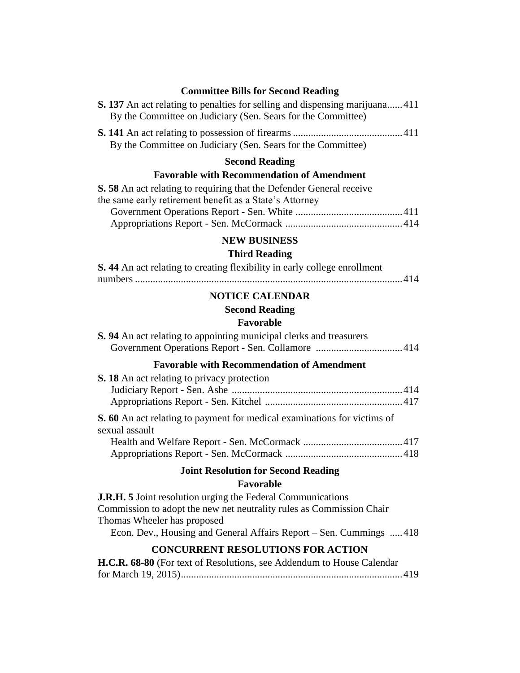# **Committee Bills for Second Reading**

| <b>S. 137</b> An act relating to penalties for selling and dispensing marijuana411 |  |
|------------------------------------------------------------------------------------|--|
| By the Committee on Judiciary (Sen. Sears for the Committee)                       |  |
|                                                                                    |  |

By the Committee on Judiciary (Sen. Sears for the Committee)

# **Second Reading**

# **Favorable with Recommendation of Amendment**

| S. 58 An act relating to requiring that the Defender General receive |  |
|----------------------------------------------------------------------|--|
| the same early retirement benefit as a State's Attorney              |  |
|                                                                      |  |
|                                                                      |  |

# **NEW BUSINESS**

# **Third Reading**

| S. 44 An act relating to creating flexibility in early college enrollment |  |
|---------------------------------------------------------------------------|--|
|                                                                           |  |

# **NOTICE CALENDAR**

# **Second Reading**

# **Favorable**

| <b>S.</b> 94 An act relating to appointing municipal clerks and treasurers                                                                                                                                                                      |
|-------------------------------------------------------------------------------------------------------------------------------------------------------------------------------------------------------------------------------------------------|
| <b>Favorable with Recommendation of Amendment</b>                                                                                                                                                                                               |
| <b>S. 18</b> An act relating to privacy protection                                                                                                                                                                                              |
| <b>S. 60</b> An act relating to payment for medical examinations for victims of<br>sexual assault                                                                                                                                               |
| <b>Joint Resolution for Second Reading</b>                                                                                                                                                                                                      |
| Favorable                                                                                                                                                                                                                                       |
| <b>J.R.H. 5</b> Joint resolution urging the Federal Communications<br>Commission to adopt the new net neutrality rules as Commission Chair<br>Thomas Wheeler has proposed<br>Econ. Dev., Housing and General Affairs Report – Sen. Cummings 418 |

# **CONCURRENT RESOLUTIONS FOR ACTION**

| H.C.R. 68-80 (For text of Resolutions, see Addendum to House Calendar |  |
|-----------------------------------------------------------------------|--|
|                                                                       |  |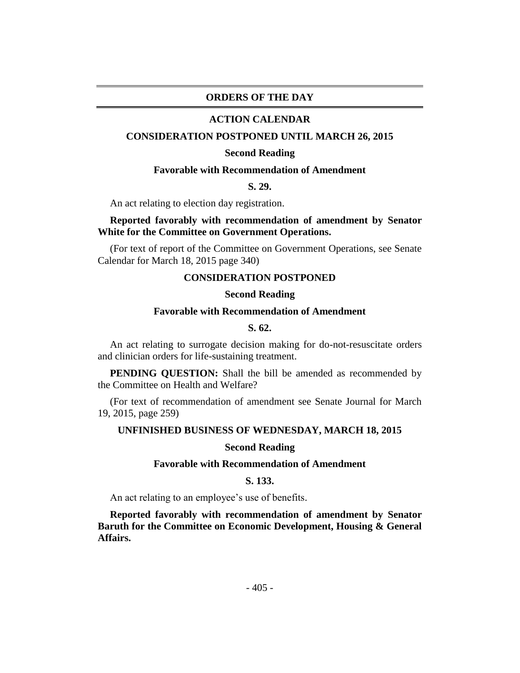# **ORDERS OF THE DAY**

#### **ACTION CALENDAR**

#### **CONSIDERATION POSTPONED UNTIL MARCH 26, 2015**

#### **Second Reading**

# **Favorable with Recommendation of Amendment**

**S. 29.**

An act relating to election day registration.

# **Reported favorably with recommendation of amendment by Senator White for the Committee on Government Operations.**

(For text of report of the Committee on Government Operations, see Senate Calendar for March 18, 2015 page 340)

#### **CONSIDERATION POSTPONED**

## **Second Reading**

# **Favorable with Recommendation of Amendment**

# **S. 62.**

An act relating to surrogate decision making for do-not-resuscitate orders and clinician orders for life-sustaining treatment.

**PENDING QUESTION:** Shall the bill be amended as recommended by the Committee on Health and Welfare?

(For text of recommendation of amendment see Senate Journal for March 19, 2015, page 259)

#### **UNFINISHED BUSINESS OF WEDNESDAY, MARCH 18, 2015**

#### **Second Reading**

#### **Favorable with Recommendation of Amendment**

#### **S. 133.**

An act relating to an employee's use of benefits.

**Reported favorably with recommendation of amendment by Senator Baruth for the Committee on Economic Development, Housing & General Affairs.**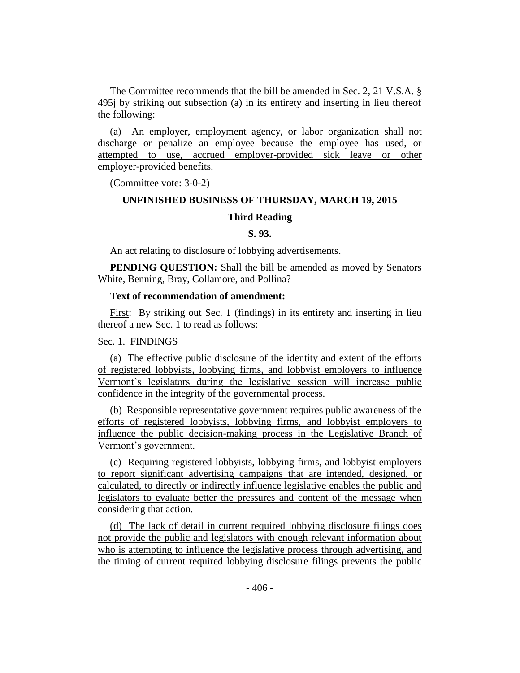The Committee recommends that the bill be amended in Sec. 2, 21 V.S.A. § 495j by striking out subsection (a) in its entirety and inserting in lieu thereof the following:

(a) An employer, employment agency, or labor organization shall not discharge or penalize an employee because the employee has used, or attempted to use, accrued employer-provided sick leave or other employer-provided benefits.

(Committee vote: 3-0-2)

# **UNFINISHED BUSINESS OF THURSDAY, MARCH 19, 2015**

# **Third Reading**

# **S. 93.**

An act relating to disclosure of lobbying advertisements.

**PENDING QUESTION:** Shall the bill be amended as moved by Senators White, Benning, Bray, Collamore, and Pollina?

# **Text of recommendation of amendment:**

First: By striking out Sec. 1 (findings) in its entirety and inserting in lieu thereof a new Sec. 1 to read as follows:

# Sec. 1. FINDINGS

(a) The effective public disclosure of the identity and extent of the efforts of registered lobbyists, lobbying firms, and lobbyist employers to influence Vermont's legislators during the legislative session will increase public confidence in the integrity of the governmental process.

(b) Responsible representative government requires public awareness of the efforts of registered lobbyists, lobbying firms, and lobbyist employers to influence the public decision-making process in the Legislative Branch of Vermont's government.

(c) Requiring registered lobbyists, lobbying firms, and lobbyist employers to report significant advertising campaigns that are intended, designed, or calculated, to directly or indirectly influence legislative enables the public and legislators to evaluate better the pressures and content of the message when considering that action.

(d) The lack of detail in current required lobbying disclosure filings does not provide the public and legislators with enough relevant information about who is attempting to influence the legislative process through advertising, and the timing of current required lobbying disclosure filings prevents the public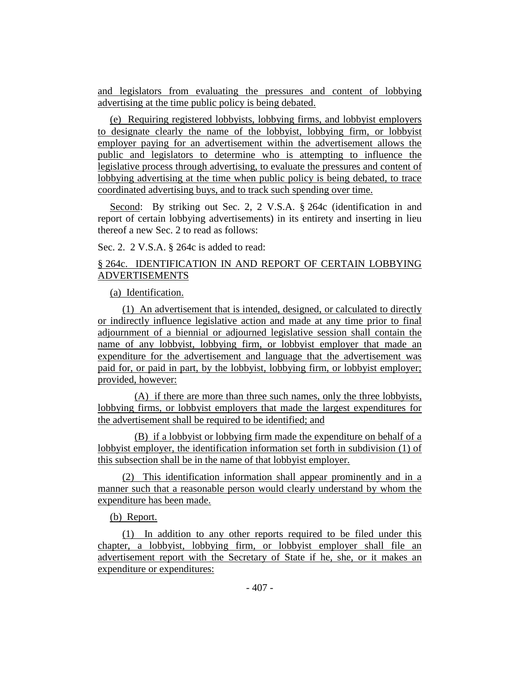and legislators from evaluating the pressures and content of lobbying advertising at the time public policy is being debated.

(e) Requiring registered lobbyists, lobbying firms, and lobbyist employers to designate clearly the name of the lobbyist, lobbying firm, or lobbyist employer paying for an advertisement within the advertisement allows the public and legislators to determine who is attempting to influence the legislative process through advertising, to evaluate the pressures and content of lobbying advertising at the time when public policy is being debated, to trace coordinated advertising buys, and to track such spending over time.

Second: By striking out Sec. 2, 2 V.S.A. § 264c (identification in and report of certain lobbying advertisements) in its entirety and inserting in lieu thereof a new Sec. 2 to read as follows:

Sec. 2. 2 V.S.A. § 264c is added to read:

# § 264c. IDENTIFICATION IN AND REPORT OF CERTAIN LOBBYING ADVERTISEMENTS

(a) Identification.

(1) An advertisement that is intended, designed, or calculated to directly or indirectly influence legislative action and made at any time prior to final adjournment of a biennial or adjourned legislative session shall contain the name of any lobbyist, lobbying firm, or lobbyist employer that made an expenditure for the advertisement and language that the advertisement was paid for, or paid in part, by the lobbyist, lobbying firm, or lobbyist employer; provided, however:

(A) if there are more than three such names, only the three lobbyists, lobbying firms, or lobbyist employers that made the largest expenditures for the advertisement shall be required to be identified; and

(B) if a lobbyist or lobbying firm made the expenditure on behalf of a lobbyist employer, the identification information set forth in subdivision (1) of this subsection shall be in the name of that lobbyist employer.

(2) This identification information shall appear prominently and in a manner such that a reasonable person would clearly understand by whom the expenditure has been made.

# (b) Report.

(1) In addition to any other reports required to be filed under this chapter, a lobbyist, lobbying firm, or lobbyist employer shall file an advertisement report with the Secretary of State if he, she, or it makes an expenditure or expenditures: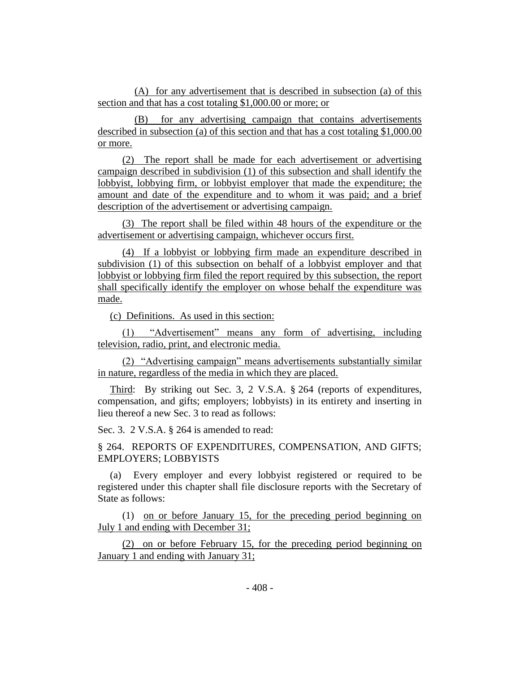(A) for any advertisement that is described in subsection (a) of this section and that has a cost totaling \$1,000.00 or more; or

(B) for any advertising campaign that contains advertisements described in subsection (a) of this section and that has a cost totaling \$1,000.00 or more.

(2) The report shall be made for each advertisement or advertising campaign described in subdivision (1) of this subsection and shall identify the lobbyist, lobbying firm, or lobbyist employer that made the expenditure; the amount and date of the expenditure and to whom it was paid; and a brief description of the advertisement or advertising campaign.

(3) The report shall be filed within 48 hours of the expenditure or the advertisement or advertising campaign, whichever occurs first.

(4) If a lobbyist or lobbying firm made an expenditure described in subdivision (1) of this subsection on behalf of a lobbyist employer and that lobbyist or lobbying firm filed the report required by this subsection, the report shall specifically identify the employer on whose behalf the expenditure was made.

(c) Definitions. As used in this section:

(1) "Advertisement" means any form of advertising, including television, radio, print, and electronic media.

(2) "Advertising campaign" means advertisements substantially similar in nature, regardless of the media in which they are placed.

Third: By striking out Sec. 3, 2 V.S.A. § 264 (reports of expenditures, compensation, and gifts; employers; lobbyists) in its entirety and inserting in lieu thereof a new Sec. 3 to read as follows:

Sec. 3. 2 V.S.A. § 264 is amended to read:

§ 264. REPORTS OF EXPENDITURES, COMPENSATION, AND GIFTS; EMPLOYERS; LOBBYISTS

(a) Every employer and every lobbyist registered or required to be registered under this chapter shall file disclosure reports with the Secretary of State as follows:

(1) on or before January 15, for the preceding period beginning on July 1 and ending with December 31;

(2) on or before February 15, for the preceding period beginning on January 1 and ending with January 31;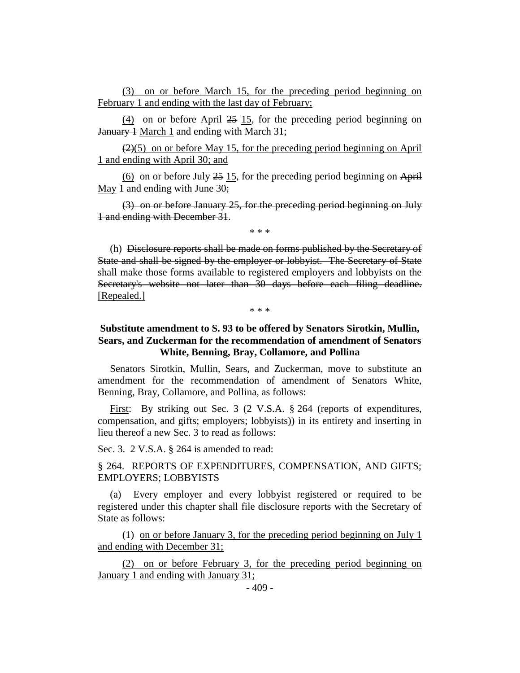(3) on or before March 15, for the preceding period beginning on February 1 and ending with the last day of February;

(4) on or before April 25 15, for the preceding period beginning on January 1 March 1 and ending with March 31;

 $(2)(5)$  on or before May 15, for the preceding period beginning on April 1 and ending with April 30; and

(6) on or before July  $25 \ 15$ , for the preceding period beginning on April May 1 and ending with June 30;

(3) on or before January 25, for the preceding period beginning on July 1 and ending with December 31.

\* \* \*

(h) Disclosure reports shall be made on forms published by the Secretary of State and shall be signed by the employer or lobbyist. The Secretary of State shall make those forms available to registered employers and lobbyists on the Secretary's website not later than 30 days before each filing deadline. [Repealed.]

\* \* \*

# **Substitute amendment to S. 93 to be offered by Senators Sirotkin, Mullin, Sears, and Zuckerman for the recommendation of amendment of Senators White, Benning, Bray, Collamore, and Pollina**

Senators Sirotkin, Mullin, Sears, and Zuckerman, move to substitute an amendment for the recommendation of amendment of Senators White, Benning, Bray, Collamore, and Pollina, as follows:

First: By striking out Sec. 3 (2 V.S.A. § 264 (reports of expenditures, compensation, and gifts; employers; lobbyists)) in its entirety and inserting in lieu thereof a new Sec. 3 to read as follows:

Sec. 3. 2 V.S.A. § 264 is amended to read:

# § 264. REPORTS OF EXPENDITURES, COMPENSATION, AND GIFTS; EMPLOYERS; LOBBYISTS

(a) Every employer and every lobbyist registered or required to be registered under this chapter shall file disclosure reports with the Secretary of State as follows:

(1) on or before January 3, for the preceding period beginning on July 1 and ending with December 31;

(2) on or before February 3, for the preceding period beginning on January 1 and ending with January 31;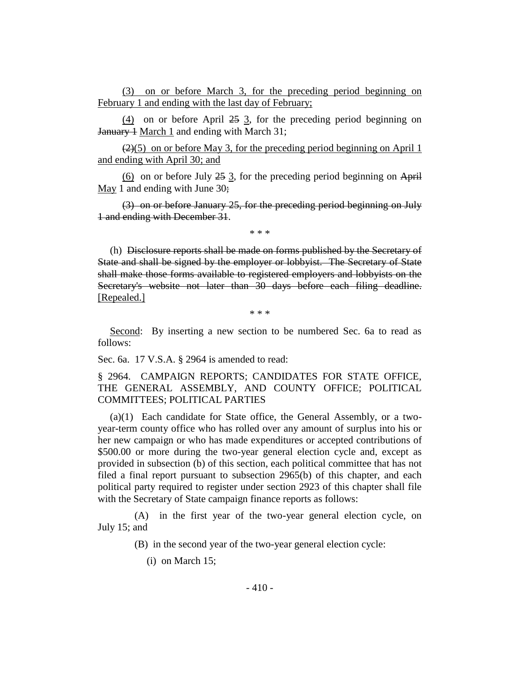(3) on or before March 3, for the preceding period beginning on February 1 and ending with the last day of February;

(4) on or before April 25 3, for the preceding period beginning on January 1 March 1 and ending with March 31;

 $(2)(5)$  on or before May 3, for the preceding period beginning on April 1 and ending with April 30; and

 $(6)$  on or before July  $25 \frac{3}{5}$ , for the preceding period beginning on April May 1 and ending with June 30;

(3) on or before January 25, for the preceding period beginning on July 1 and ending with December 31.

\* \* \*

(h) Disclosure reports shall be made on forms published by the Secretary of State and shall be signed by the employer or lobbyist. The Secretary of State shall make those forms available to registered employers and lobbyists on the Secretary's website not later than 30 days before each filing deadline. [Repealed.]

\* \* \*

Second: By inserting a new section to be numbered Sec. 6a to read as follows:

Sec. 6a. 17 V.S.A. § 2964 is amended to read:

§ 2964. CAMPAIGN REPORTS; CANDIDATES FOR STATE OFFICE, THE GENERAL ASSEMBLY, AND COUNTY OFFICE; POLITICAL COMMITTEES; POLITICAL PARTIES

(a)(1) Each candidate for State office, the General Assembly, or a twoyear-term county office who has rolled over any amount of surplus into his or her new campaign or who has made expenditures or accepted contributions of \$500.00 or more during the two-year general election cycle and, except as provided in subsection (b) of this section, each political committee that has not filed a final report pursuant to subsection 2965(b) of this chapter, and each political party required to register under section 2923 of this chapter shall file with the Secretary of State campaign finance reports as follows:

(A) in the first year of the two-year general election cycle, on July 15; and

(B) in the second year of the two-year general election cycle:

(i) on March 15;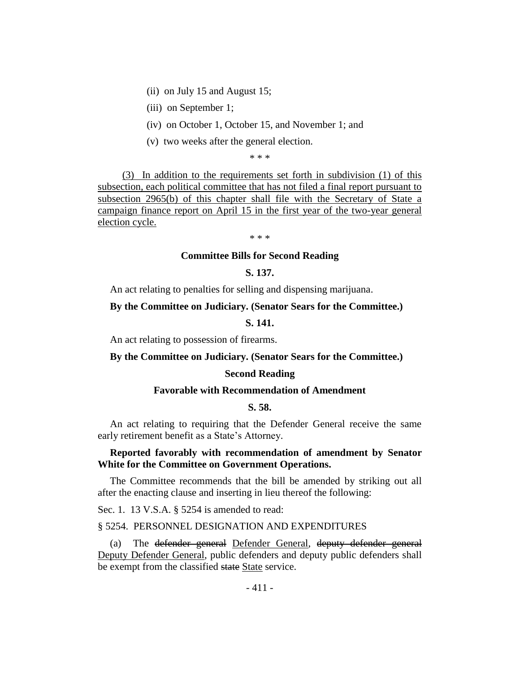- (ii) on July 15 and August 15;
- (iii) on September 1;
- (iv) on October 1, October 15, and November 1; and
- (v) two weeks after the general election.

\* \* \*

(3) In addition to the requirements set forth in subdivision (1) of this subsection, each political committee that has not filed a final report pursuant to subsection 2965(b) of this chapter shall file with the Secretary of State a campaign finance report on April 15 in the first year of the two-year general election cycle.

\* \* \*

#### **Committee Bills for Second Reading**

# **S. 137.**

An act relating to penalties for selling and dispensing marijuana.

# **By the Committee on Judiciary. (Senator Sears for the Committee.)**

# **S. 141.**

An act relating to possession of firearms.

# **By the Committee on Judiciary. (Senator Sears for the Committee.)**

# **Second Reading**

# **Favorable with Recommendation of Amendment**

# **S. 58.**

An act relating to requiring that the Defender General receive the same early retirement benefit as a State's Attorney.

# **Reported favorably with recommendation of amendment by Senator White for the Committee on Government Operations.**

The Committee recommends that the bill be amended by striking out all after the enacting clause and inserting in lieu thereof the following:

Sec. 1. 13 V.S.A. § 5254 is amended to read:

#### § 5254. PERSONNEL DESIGNATION AND EXPENDITURES

(a) The defender general Defender General, deputy defender general Deputy Defender General, public defenders and deputy public defenders shall be exempt from the classified state State service.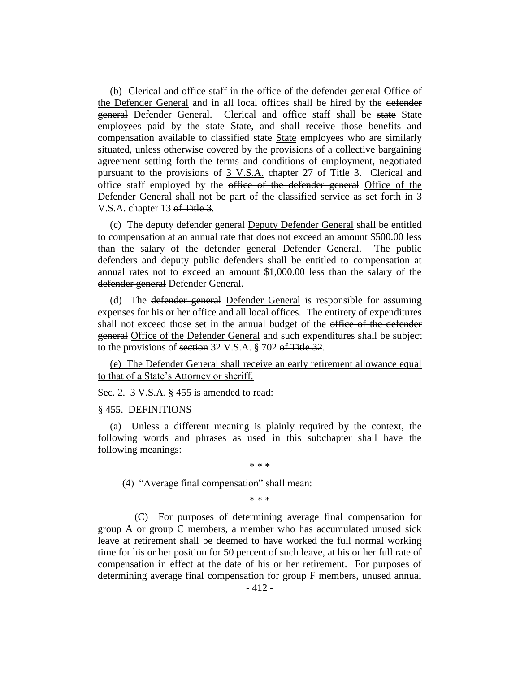(b) Clerical and office staff in the office of the defender general Office of the Defender General and in all local offices shall be hired by the defender general Defender General. Clerical and office staff shall be state State employees paid by the state State, and shall receive those benefits and compensation available to classified state State employees who are similarly situated, unless otherwise covered by the provisions of a collective bargaining agreement setting forth the terms and conditions of employment, negotiated pursuant to the provisions of 3 V.S.A. chapter 27 of Title 3. Clerical and office staff employed by the office of the defender general Office of the Defender General shall not be part of the classified service as set forth in 3 V.S.A. chapter 13 of Title 3.

(c) The deputy defender general Deputy Defender General shall be entitled to compensation at an annual rate that does not exceed an amount \$500.00 less than the salary of the defender general Defender General. The public defenders and deputy public defenders shall be entitled to compensation at annual rates not to exceed an amount \$1,000.00 less than the salary of the defender general Defender General.

(d) The defender general Defender General is responsible for assuming expenses for his or her office and all local offices. The entirety of expenditures shall not exceed those set in the annual budget of the office of the defender general Office of the Defender General and such expenditures shall be subject to the provisions of section 32 V.S.A. § 702 of Title 32.

(e) The Defender General shall receive an early retirement allowance equal to that of a State's Attorney or sheriff.

Sec. 2. 3 V.S.A. § 455 is amended to read:

#### § 455. DEFINITIONS

(a) Unless a different meaning is plainly required by the context, the following words and phrases as used in this subchapter shall have the following meanings:

\* \* \*

(4) "Average final compensation" shall mean:

\* \* \*

(C) For purposes of determining average final compensation for group A or group C members, a member who has accumulated unused sick leave at retirement shall be deemed to have worked the full normal working time for his or her position for 50 percent of such leave, at his or her full rate of compensation in effect at the date of his or her retirement. For purposes of determining average final compensation for group F members, unused annual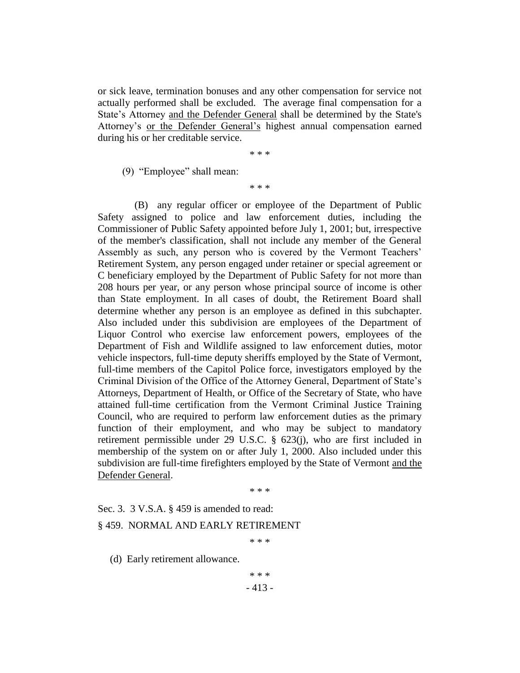or sick leave, termination bonuses and any other compensation for service not actually performed shall be excluded. The average final compensation for a State's Attorney and the Defender General shall be determined by the State's Attorney's or the Defender General's highest annual compensation earned during his or her creditable service.

\* \* \*

(9) "Employee" shall mean:

\* \* \*

(B) any regular officer or employee of the Department of Public Safety assigned to police and law enforcement duties, including the Commissioner of Public Safety appointed before July 1, 2001; but, irrespective of the member's classification, shall not include any member of the General Assembly as such, any person who is covered by the Vermont Teachers' Retirement System, any person engaged under retainer or special agreement or C beneficiary employed by the Department of Public Safety for not more than 208 hours per year, or any person whose principal source of income is other than State employment. In all cases of doubt, the Retirement Board shall determine whether any person is an employee as defined in this subchapter. Also included under this subdivision are employees of the Department of Liquor Control who exercise law enforcement powers, employees of the Department of Fish and Wildlife assigned to law enforcement duties, motor vehicle inspectors, full-time deputy sheriffs employed by the State of Vermont, full-time members of the Capitol Police force, investigators employed by the Criminal Division of the Office of the Attorney General, Department of State's Attorneys, Department of Health, or Office of the Secretary of State, who have attained full-time certification from the Vermont Criminal Justice Training Council, who are required to perform law enforcement duties as the primary function of their employment, and who may be subject to mandatory retirement permissible under 29 U.S.C. § 623(j), who are first included in membership of the system on or after July 1, 2000. Also included under this subdivision are full-time firefighters employed by the State of Vermont and the Defender General.

\* \* \*

Sec. 3. 3 V.S.A. § 459 is amended to read:

## § 459. NORMAL AND EARLY RETIREMENT

\* \* \*

(d) Early retirement allowance.

\* \* \*

- 413 -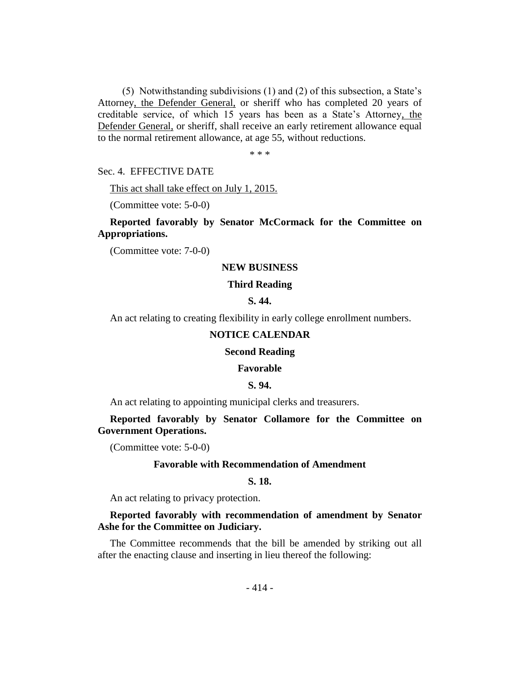(5) Notwithstanding subdivisions (1) and (2) of this subsection, a State's Attorney, the Defender General, or sheriff who has completed 20 years of creditable service, of which 15 years has been as a State's Attorney, the Defender General, or sheriff, shall receive an early retirement allowance equal to the normal retirement allowance, at age 55, without reductions.

\* \* \*

Sec. 4. EFFECTIVE DATE

This act shall take effect on July 1, 2015.

(Committee vote: 5-0-0)

# **Reported favorably by Senator McCormack for the Committee on Appropriations.**

(Committee vote: 7-0-0)

### **NEW BUSINESS**

# **Third Reading**

# **S. 44.**

An act relating to creating flexibility in early college enrollment numbers.

#### **NOTICE CALENDAR**

#### **Second Reading**

#### **Favorable**

#### **S. 94.**

An act relating to appointing municipal clerks and treasurers.

**Reported favorably by Senator Collamore for the Committee on Government Operations.**

(Committee vote: 5-0-0)

#### **Favorable with Recommendation of Amendment**

#### **S. 18.**

An act relating to privacy protection.

# **Reported favorably with recommendation of amendment by Senator Ashe for the Committee on Judiciary.**

The Committee recommends that the bill be amended by striking out all after the enacting clause and inserting in lieu thereof the following: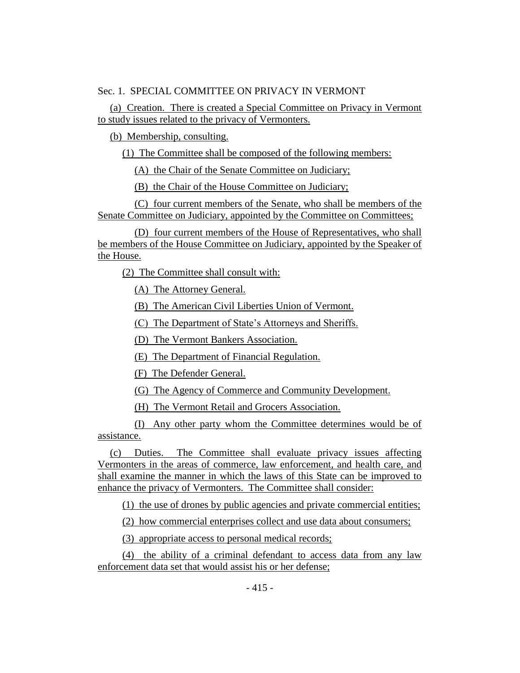# Sec. 1. SPECIAL COMMITTEE ON PRIVACY IN VERMONT

(a) Creation. There is created a Special Committee on Privacy in Vermont to study issues related to the privacy of Vermonters.

(b) Membership, consulting.

(1) The Committee shall be composed of the following members:

(A) the Chair of the Senate Committee on Judiciary;

(B) the Chair of the House Committee on Judiciary;

(C) four current members of the Senate, who shall be members of the Senate Committee on Judiciary, appointed by the Committee on Committees;

(D) four current members of the House of Representatives, who shall be members of the House Committee on Judiciary, appointed by the Speaker of the House.

(2) The Committee shall consult with:

(A) The Attorney General.

(B) The American Civil Liberties Union of Vermont.

(C) The Department of State's Attorneys and Sheriffs.

(D) The Vermont Bankers Association.

(E) The Department of Financial Regulation.

(F) The Defender General.

(G) The Agency of Commerce and Community Development.

(H) The Vermont Retail and Grocers Association.

(I) Any other party whom the Committee determines would be of assistance.

(c) Duties. The Committee shall evaluate privacy issues affecting Vermonters in the areas of commerce, law enforcement, and health care, and shall examine the manner in which the laws of this State can be improved to enhance the privacy of Vermonters. The Committee shall consider:

(1) the use of drones by public agencies and private commercial entities;

(2) how commercial enterprises collect and use data about consumers;

(3) appropriate access to personal medical records;

(4) the ability of a criminal defendant to access data from any law enforcement data set that would assist his or her defense;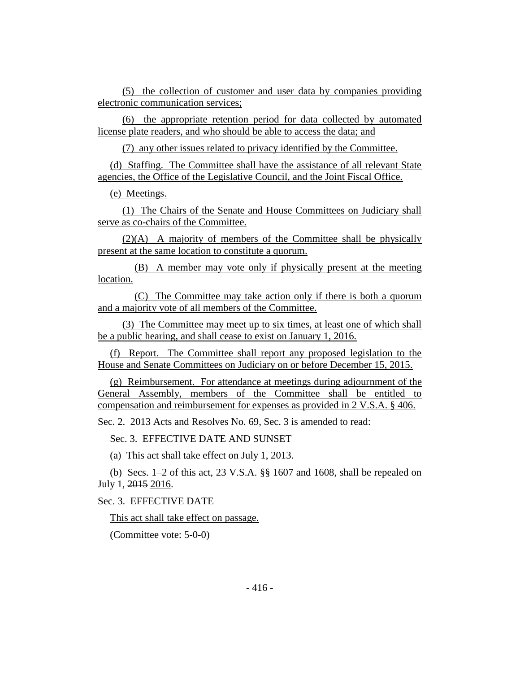(5) the collection of customer and user data by companies providing electronic communication services;

(6) the appropriate retention period for data collected by automated license plate readers, and who should be able to access the data; and

(7) any other issues related to privacy identified by the Committee.

(d) Staffing. The Committee shall have the assistance of all relevant State agencies, the Office of the Legislative Council, and the Joint Fiscal Office.

(e) Meetings.

(1) The Chairs of the Senate and House Committees on Judiciary shall serve as co-chairs of the Committee.

(2)(A) A majority of members of the Committee shall be physically present at the same location to constitute a quorum.

(B) A member may vote only if physically present at the meeting location.

(C) The Committee may take action only if there is both a quorum and a majority vote of all members of the Committee.

(3) The Committee may meet up to six times, at least one of which shall be a public hearing, and shall cease to exist on January 1, 2016.

(f) Report. The Committee shall report any proposed legislation to the House and Senate Committees on Judiciary on or before December 15, 2015.

(g) Reimbursement. For attendance at meetings during adjournment of the General Assembly, members of the Committee shall be entitled to compensation and reimbursement for expenses as provided in 2 V.S.A. § 406.

Sec. 2. 2013 Acts and Resolves No. 69, Sec. 3 is amended to read:

Sec. 3. EFFECTIVE DATE AND SUNSET

(a) This act shall take effect on July 1, 2013.

(b) Secs. 1–2 of this act, 23 V.S.A. §§ 1607 and 1608, shall be repealed on July 1, 2015 2016.

Sec. 3. EFFECTIVE DATE

This act shall take effect on passage.

(Committee vote: 5-0-0)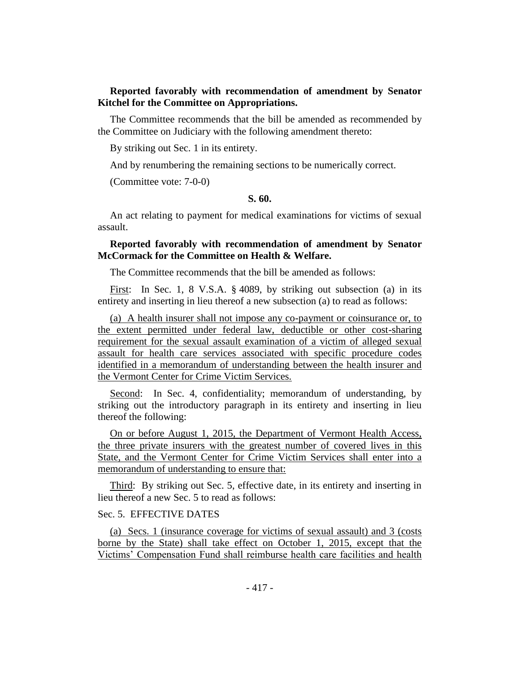# **Reported favorably with recommendation of amendment by Senator Kitchel for the Committee on Appropriations.**

The Committee recommends that the bill be amended as recommended by the Committee on Judiciary with the following amendment thereto:

By striking out Sec. 1 in its entirety.

And by renumbering the remaining sections to be numerically correct.

(Committee vote: 7-0-0)

#### **S. 60.**

An act relating to payment for medical examinations for victims of sexual assault.

# **Reported favorably with recommendation of amendment by Senator McCormack for the Committee on Health & Welfare.**

The Committee recommends that the bill be amended as follows:

First: In Sec. 1, 8 V.S.A. § 4089, by striking out subsection (a) in its entirety and inserting in lieu thereof a new subsection (a) to read as follows:

(a) A health insurer shall not impose any co-payment or coinsurance or, to the extent permitted under federal law, deductible or other cost-sharing requirement for the sexual assault examination of a victim of alleged sexual assault for health care services associated with specific procedure codes identified in a memorandum of understanding between the health insurer and the Vermont Center for Crime Victim Services.

Second: In Sec. 4, confidentiality; memorandum of understanding, by striking out the introductory paragraph in its entirety and inserting in lieu thereof the following:

On or before August 1, 2015, the Department of Vermont Health Access, the three private insurers with the greatest number of covered lives in this State, and the Vermont Center for Crime Victim Services shall enter into a memorandum of understanding to ensure that:

Third: By striking out Sec. 5, effective date, in its entirety and inserting in lieu thereof a new Sec. 5 to read as follows:

# Sec. 5. EFFECTIVE DATES

(a) Secs. 1 (insurance coverage for victims of sexual assault) and 3 (costs borne by the State) shall take effect on October 1, 2015, except that the Victims' Compensation Fund shall reimburse health care facilities and health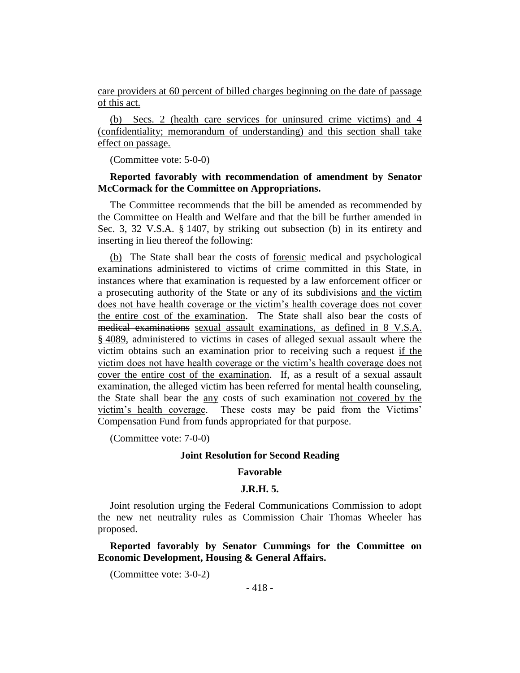care providers at 60 percent of billed charges beginning on the date of passage of this act.

(b) Secs. 2 (health care services for uninsured crime victims) and 4 (confidentiality; memorandum of understanding) and this section shall take effect on passage.

(Committee vote: 5-0-0)

# **Reported favorably with recommendation of amendment by Senator McCormack for the Committee on Appropriations.**

The Committee recommends that the bill be amended as recommended by the Committee on Health and Welfare and that the bill be further amended in Sec. 3, 32 V.S.A. § 1407, by striking out subsection (b) in its entirety and inserting in lieu thereof the following:

(b) The State shall bear the costs of forensic medical and psychological examinations administered to victims of crime committed in this State, in instances where that examination is requested by a law enforcement officer or a prosecuting authority of the State or any of its subdivisions and the victim does not have health coverage or the victim's health coverage does not cover the entire cost of the examination. The State shall also bear the costs of medical examinations sexual assault examinations, as defined in 8 V.S.A. § 4089, administered to victims in cases of alleged sexual assault where the victim obtains such an examination prior to receiving such a request if the victim does not have health coverage or the victim's health coverage does not cover the entire cost of the examination. If, as a result of a sexual assault examination, the alleged victim has been referred for mental health counseling, the State shall bear the any costs of such examination not covered by the victim's health coverage. These costs may be paid from the Victims' Compensation Fund from funds appropriated for that purpose.

(Committee vote: 7-0-0)

# **Joint Resolution for Second Reading**

# **Favorable**

#### **J.R.H. 5.**

Joint resolution urging the Federal Communications Commission to adopt the new net neutrality rules as Commission Chair Thomas Wheeler has proposed.

**Reported favorably by Senator Cummings for the Committee on Economic Development, Housing & General Affairs.**

(Committee vote: 3-0-2)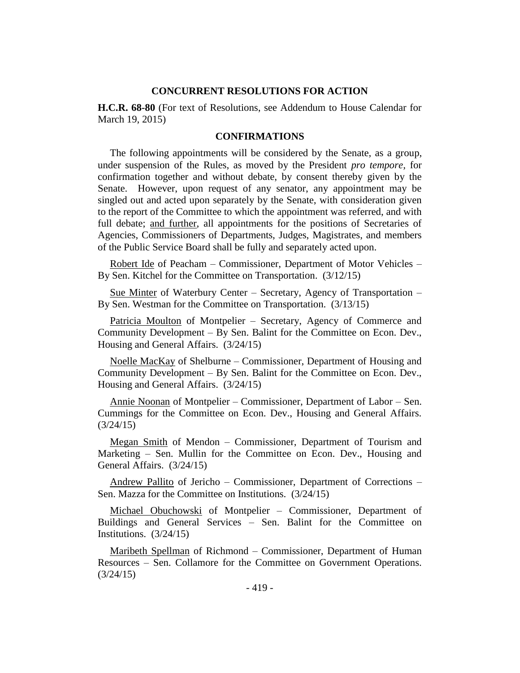# **CONCURRENT RESOLUTIONS FOR ACTION**

**H.C.R. 68-80** (For text of Resolutions, see Addendum to House Calendar for March 19, 2015)

# **CONFIRMATIONS**

The following appointments will be considered by the Senate, as a group, under suspension of the Rules, as moved by the President *pro tempore,* for confirmation together and without debate, by consent thereby given by the Senate. However, upon request of any senator, any appointment may be singled out and acted upon separately by the Senate, with consideration given to the report of the Committee to which the appointment was referred, and with full debate; and further, all appointments for the positions of Secretaries of Agencies, Commissioners of Departments, Judges, Magistrates, and members of the Public Service Board shall be fully and separately acted upon.

Robert Ide of Peacham - Commissioner, Department of Motor Vehicles -By Sen. Kitchel for the Committee on Transportation. (3/12/15)

Sue Minter of Waterbury Center – Secretary, Agency of Transportation – By Sen. Westman for the Committee on Transportation. (3/13/15)

Patricia Moulton of Montpelier – Secretary, Agency of Commerce and Community Development – By Sen. Balint for the Committee on Econ. Dev., Housing and General Affairs. (3/24/15)

Noelle MacKay of Shelburne – Commissioner, Department of Housing and Community Development – By Sen. Balint for the Committee on Econ. Dev., Housing and General Affairs. (3/24/15)

Annie Noonan of Montpelier – Commissioner, Department of Labor – Sen. Cummings for the Committee on Econ. Dev., Housing and General Affairs. (3/24/15)

Megan Smith of Mendon – Commissioner, Department of Tourism and Marketing – Sen. Mullin for the Committee on Econ. Dev., Housing and General Affairs. (3/24/15)

Andrew Pallito of Jericho – Commissioner, Department of Corrections – Sen. Mazza for the Committee on Institutions. (3/24/15)

Michael Obuchowski of Montpelier - Commissioner, Department of Buildings and General Services – Sen. Balint for the Committee on Institutions. (3/24/15)

Maribeth Spellman of Richmond – Commissioner, Department of Human Resources – Sen. Collamore for the Committee on Government Operations. (3/24/15)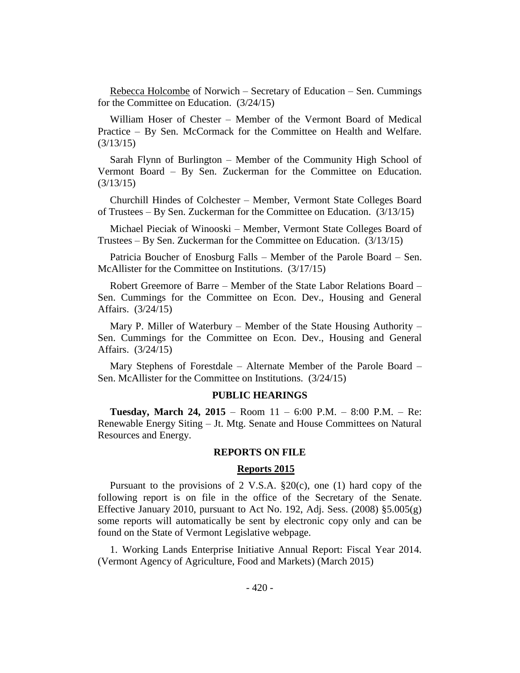Rebecca Holcombe of Norwich – Secretary of Education – Sen. Cummings for the Committee on Education. (3/24/15)

William Hoser of Chester – Member of the Vermont Board of Medical Practice – By Sen. McCormack for the Committee on Health and Welfare. (3/13/15)

Sarah Flynn of Burlington – Member of the Community High School of Vermont Board – By Sen. Zuckerman for the Committee on Education. (3/13/15)

Churchill Hindes of Colchester – Member, Vermont State Colleges Board of Trustees – By Sen. Zuckerman for the Committee on Education. (3/13/15)

Michael Pieciak of Winooski – Member, Vermont State Colleges Board of Trustees – By Sen. Zuckerman for the Committee on Education. (3/13/15)

Patricia Boucher of Enosburg Falls – Member of the Parole Board – Sen. McAllister for the Committee on Institutions. (3/17/15)

Robert Greemore of Barre – Member of the State Labor Relations Board – Sen. Cummings for the Committee on Econ. Dev., Housing and General Affairs. (3/24/15)

Mary P. Miller of Waterbury – Member of the State Housing Authority – Sen. Cummings for the Committee on Econ. Dev., Housing and General Affairs. (3/24/15)

Mary Stephens of Forestdale – Alternate Member of the Parole Board – Sen. McAllister for the Committee on Institutions. (3/24/15)

#### **PUBLIC HEARINGS**

**Tuesday, March 24, 2015** – Room 11 – 6:00 P.M. – 8:00 P.M. – Re: Renewable Energy Siting – Jt. Mtg. Senate and House Committees on Natural Resources and Energy.

#### **REPORTS ON FILE**

#### **Reports 2015**

Pursuant to the provisions of 2 V.S.A.  $\S20(c)$ , one (1) hard copy of the following report is on file in the office of the Secretary of the Senate. Effective January 2010, pursuant to Act No. 192, Adj. Sess.  $(2008)$  §5.005 $(g)$ some reports will automatically be sent by electronic copy only and can be found on the State of Vermont Legislative webpage.

1. Working Lands Enterprise Initiative Annual Report: Fiscal Year 2014. (Vermont Agency of Agriculture, Food and Markets) (March 2015)